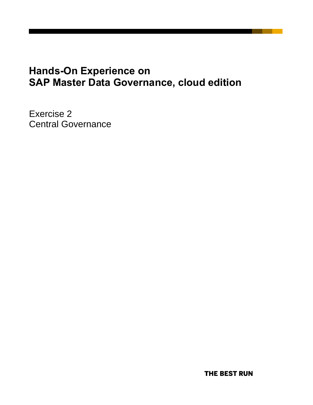# **Hands-On Experience on SAP Master Data Governance, cloud edition**

Exercise 2 Central Governance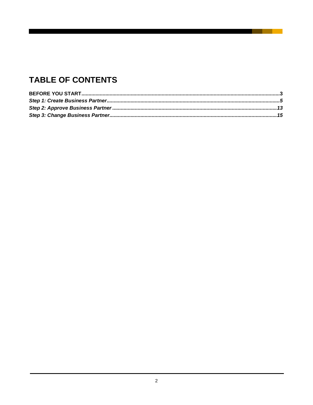## **TABLE OF CONTENTS**

**Contract Contract**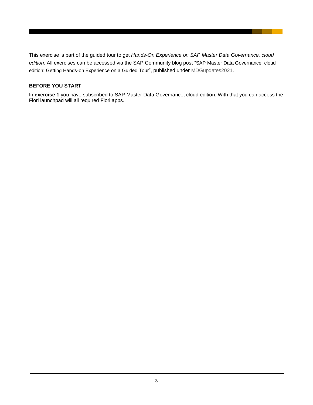This exercise is part of the guided tour to get *Hands-On Experience on SAP Master Data Governance, cloud edition*. All exercises can be accessed via the SAP Community blog post "SAP Master Data Governance, cloud edition: Getting Hands-on Experience on a Guided Tour", published under [MDGupdates2021.](https://blogs.sap.com/tag/mdgupdates2021/)

### <span id="page-2-0"></span>**BEFORE YOU START**

In **exercise 1** you have subscribed to SAP Master Data Governance, cloud edition. With that you can access the Fiori launchpad will all required Fiori apps.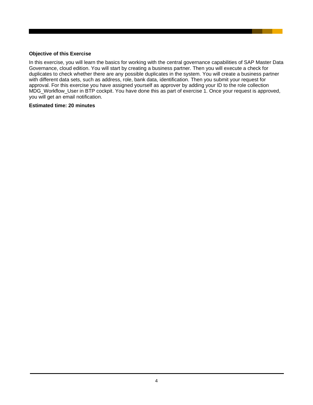#### **Objective of this Exercise**

In this exercise, you will learn the basics for working with the central governance capabilities of SAP Master Data Governance, cloud edition. You will start by creating a business partner. Then you will execute a check for duplicates to check whether there are any possible duplicates in the system. You will create a business partner with different data sets, such as address, role, bank data, identification. Then you submit your request for approval. For this exercise you have assigned yourself as approver by adding your ID to the role collection MDG\_Workflow\_User in BTP cockpit. You have done this as part of exercise 1. Once your request is approved, you will get an email notification.

#### **Estimated time: 20 minutes**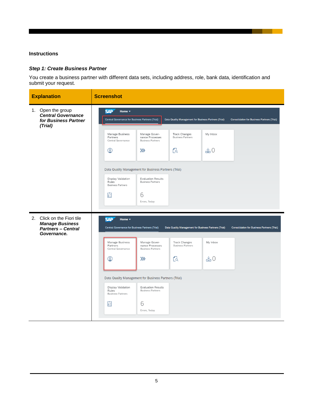#### **Instructions**

## <span id="page-4-0"></span>*Step 1: Create Business Partner*

You create a business partner with different data sets, including address, role, bank data, identification and submit your request.

| <b>Explanation</b>                                                                               | <b>Screenshot</b>                                                                                                                                     |                                                                             |                                                                                                                           |                            |                                                    |
|--------------------------------------------------------------------------------------------------|-------------------------------------------------------------------------------------------------------------------------------------------------------|-----------------------------------------------------------------------------|---------------------------------------------------------------------------------------------------------------------------|----------------------------|----------------------------------------------------|
| 1. Open the group<br><b>Central Governance</b><br>for Business Partner<br>(Trial)                | <b>SAP</b><br>Home v<br>Central Governance for Business Partners (Trial)<br>Manage Business<br>Partners<br>Central Governance<br>இ                    | Manage Gover-<br>nance Processes<br><b>Business Partners</b><br>$\gg$       | Data Quality Management for Business Partners (Trial)<br><b>Track Changes</b><br><b>Business Partners</b><br>$\mathbb{C}$ | My Inbox<br>$\xi 0$        | <b>Consolidation for Business Partners (Trial)</b> |
|                                                                                                  | Data Quality Management for Business Partners (Trial)<br>Display Validation<br>Rules<br><b>Business Partners</b><br>囼                                 | <b>Evaluation Results</b><br><b>Business Partners</b><br>6<br>Errors, Today |                                                                                                                           |                            |                                                    |
| 2. Click on the Fiori tile<br><b>Manage Business</b><br><b>Partners - Central</b><br>Governance. | <b>SAP</b><br>Home $\blacktriangledown$<br>Central Governance for Business Partners (Trial)<br>Manage Business<br>Partners<br>Central Governance<br>இ | Manage Gover-<br>nance Processes<br><b>Business Partners</b><br>$\gg$       | Data Quality Management for Business Partners (Trial)<br><b>Track Changes</b><br><b>Business Partners</b><br>$\mathbb{C}$ | My Inbox<br>$\triangleq 0$ | <b>Consolidation for Business Partners (Trial)</b> |
|                                                                                                  | Data Quality Management for Business Partners (Trial)<br>Display Validation<br>Rules<br><b>Business Partners</b><br>囼                                 | <b>Evaluation Results</b><br><b>Business Partners</b><br>6<br>Errors, Today |                                                                                                                           |                            |                                                    |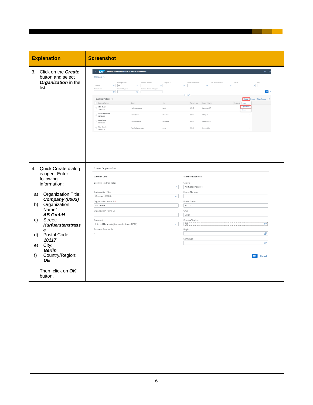| <b>Explanation</b>                                                                                                                                                                                                                            | <b>Screenshot</b>                                                                                                                                                                                                                                                                                                                                                                                                                                                                                                                                                                                                                                                                                                                                                                                                                                                                                                                                                                                                                                                                                                                                                                                                                                                                                                                                 |                                                                                                                                                                                                                                                                                                                                |
|-----------------------------------------------------------------------------------------------------------------------------------------------------------------------------------------------------------------------------------------------|---------------------------------------------------------------------------------------------------------------------------------------------------------------------------------------------------------------------------------------------------------------------------------------------------------------------------------------------------------------------------------------------------------------------------------------------------------------------------------------------------------------------------------------------------------------------------------------------------------------------------------------------------------------------------------------------------------------------------------------------------------------------------------------------------------------------------------------------------------------------------------------------------------------------------------------------------------------------------------------------------------------------------------------------------------------------------------------------------------------------------------------------------------------------------------------------------------------------------------------------------------------------------------------------------------------------------------------------------|--------------------------------------------------------------------------------------------------------------------------------------------------------------------------------------------------------------------------------------------------------------------------------------------------------------------------------|
| 3. Click on the Create<br>button and select<br>Organization in the<br>list.                                                                                                                                                                   | $\leftarrow$ SAP<br>Manage Business Partners - Central Governance +<br>Standard $\vee$<br>Editing Status:<br><b>Business Partner</b><br>Request ID:<br>Search<br>$\mathbf{Q} = -\mathbf{A}\mathbf{I}$<br>$\mathcal{C}$<br>$\checkmark$<br>Postal Code<br>Country/Region:<br>Business Partner Category:<br>$\mathbb{G}^n$<br>$\mathbb{S}^2$<br>$\checkmark$<br>Business Partners (4)<br><b>Business Partne</b><br>City<br>ABC GmbH<br>$\begin{array}{c}\n\overline{\phantom{0}} \\ \overline{\phantom{0}} \\ \overline{\phantom{0}} \\ \overline{\phantom{0}} \\ \overline{\phantom{0}} \\ \overline{\phantom{0}} \\ \overline{\phantom{0}} \\ \overline{\phantom{0}} \\ \overline{\phantom{0}} \\ \overline{\phantom{0}} \\ \overline{\phantom{0}} \\ \overline{\phantom{0}} \\ \overline{\phantom{0}} \\ \overline{\phantom{0}} \\ \overline{\phantom{0}} \\ \overline{\phantom{0}} \\ \overline{\phantom{0}} \\ \overline{\phantom{0}} \\ \overline{\phantom{0}} \\ \overline{\phantom{0}} \\ \overline{\phantom{0}} \\ \over$<br>Kurfürstenstrasse<br>Berlin<br>XYZ Corporation<br>$\Box$<br>Water Street<br>New York<br>SBP21028<br><b>Hugo Tester</b><br>$\Box$<br>Mannhe<br>Industriestrasse<br>SBP31028<br>Mari Dubois<br>$\begin{array}{c}\n\hline\n\text{M}\text{m}\text{m}\text{m}\text{m}\n\end{array}$<br>Rue Du Debarcadere<br>Paris | $Q_0$<br>Last Name/Name1<br>First Name/Name2<br>$\mathbb{C}^{\mathsf{D}}$<br>$\mathbb{G}$<br>$\mathbb{G}^n$<br>$\theta$<br>Go<br>日子<br>Create<br>cess in Mass Reg<br>Postal Code<br>Country/Regio<br>Request<br>Person<br>Organ<br>10117<br>Germany (DE)<br>10004<br>USA (US)<br>68169<br>Germany (DE)<br>75017<br>France (FR) |
| 4. Quick Create dialog<br>is open. Enter<br>following<br>information:                                                                                                                                                                         | Create Organization<br><b>General Data</b><br>Business Partner Role:                                                                                                                                                                                                                                                                                                                                                                                                                                                                                                                                                                                                                                                                                                                                                                                                                                                                                                                                                                                                                                                                                                                                                                                                                                                                              | <b>Standard Address</b><br>Street:                                                                                                                                                                                                                                                                                             |
| Organization Title:<br>a)<br>Company (0003)<br>Organization<br>b)<br>Name1:<br><b>AB GmbH</b><br>Street:<br>C)<br><b>Kurfuerstenstrass</b><br>e<br>Postal Code:<br>d)<br>10117<br>City:<br>e)<br><b>Berlin</b><br>Country/Region:<br>f)<br>DE | $\checkmark$<br>Organization Title:<br>Company (0003)<br>$\checkmark$<br>Organization Name 1:*<br>AB GmbH<br>Organization Name 2:<br>Grouping:<br>Internal Numbering for standard use (BP02)<br>$\checkmark$<br>Business Partner ID:                                                                                                                                                                                                                                                                                                                                                                                                                                                                                                                                                                                                                                                                                                                                                                                                                                                                                                                                                                                                                                                                                                              | Kurfuerstenstrasse<br>House Number:<br>Postal Code:<br>10117<br>City:<br>Berlin<br>Country/Region:<br>e<br>DE<br>Region:<br>c<br>Language:<br>c<br>$\alpha$<br>Cancel                                                                                                                                                          |
| Then, click on OK<br>button.                                                                                                                                                                                                                  |                                                                                                                                                                                                                                                                                                                                                                                                                                                                                                                                                                                                                                                                                                                                                                                                                                                                                                                                                                                                                                                                                                                                                                                                                                                                                                                                                   |                                                                                                                                                                                                                                                                                                                                |

and the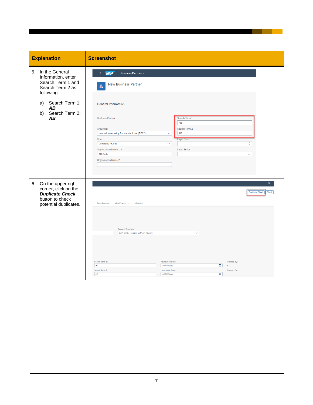| <b>Explanation</b>                                                                                                  | <b>Screenshot</b>                                                                                                                                                                                                                                                                                                                                                                 |
|---------------------------------------------------------------------------------------------------------------------|-----------------------------------------------------------------------------------------------------------------------------------------------------------------------------------------------------------------------------------------------------------------------------------------------------------------------------------------------------------------------------------|
|                                                                                                                     |                                                                                                                                                                                                                                                                                                                                                                                   |
| 5. In the General<br>Information, enter<br>Search Term 1 and<br>Search Term 2 as<br>following:                      | <b>SAP</b><br><b>Business Partner v</b><br><b>New Business Partner</b><br>凬                                                                                                                                                                                                                                                                                                       |
| Search Term 1:<br>a)<br>AB<br>Search Term 2:<br>b)<br>AB                                                            | <b>General Information</b><br>Search Term 1:<br><b>Business Partner:</b><br>AB<br>$\overline{\phantom{0}}$<br>Search Term 2:<br>Grouping:<br>AB<br>Internal Numbering for standard use (BP02)<br>$\checkmark$<br>Title:<br>Legal Form:<br>c<br>Company (0003)<br>$\checkmark$<br>Organization Name 1:*<br>Legal Entity:<br>AB GmbH<br>$\checkmark$<br><b>Organization Name 2:</b> |
| 6. On the upper right<br>corner, click on the<br><b>Duplicate Check</b><br>button to check<br>potential duplicates. | $\alpha$<br><b>Duplicate Check</b><br>${\sf Check}$<br>Bank Accounts Identification $\vee$ Industries<br>Request Template:*<br>SAP: Single Request BuPa w/ Rework<br>$\checkmark$<br>Search Term 1:<br><b>Foundation Date:</b><br>Created By:<br>AB<br>MM/dd/yyyy<br>圖<br>Search Term 2:<br><b>Liquidation Date:</b><br>Created On:<br>AB<br>MM/dd/yyyy<br>画<br>÷                 |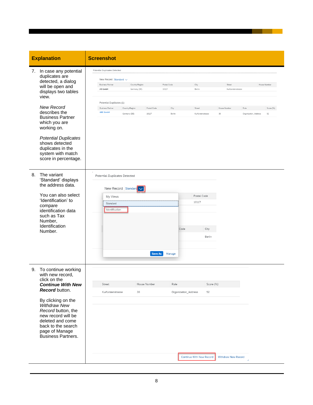|                                                                                                                                     | <b>Explanation</b>                                                                                                                                                                          | <b>Screenshot</b>                                                                                                                                        |                                                  |                |                              |                                 |                 |                                              |                      |                           |
|-------------------------------------------------------------------------------------------------------------------------------------|---------------------------------------------------------------------------------------------------------------------------------------------------------------------------------------------|----------------------------------------------------------------------------------------------------------------------------------------------------------|--------------------------------------------------|----------------|------------------------------|---------------------------------|-----------------|----------------------------------------------|----------------------|---------------------------|
|                                                                                                                                     | 7. In case any potential<br>duplicates are<br>detected, a dialog<br>will be open and<br>displays two tables<br>view.<br><b>New Record</b>                                                   | Potential Duplicates Detected<br>New Record Standard $\vee$<br><b>Business Partner</b><br>AB GmbH<br>Potential Duplicates (1)<br><b>Business Partner</b> | Country/Region<br>Germany (DE)<br>Country/Region | Postal Code    | Postal Code<br>10117<br>City | City<br>Berlin<br>Street        |                 | Street<br>Kurfuerstenstrasse<br>House Number | Rule                 | House Number<br>Score (%) |
|                                                                                                                                     | describes the<br><b>Business Partner</b><br>which you are<br>working on.<br><b>Potential Duplicates</b><br>shows detected<br>duplicates in the<br>system with match<br>score in percentage. | <b>ABC GmbH</b>                                                                                                                                          | Germany (DE)                                     | 10117          | Berlin                       | Kurfürstenstrasse               |                 | 30                                           | Organization_Address | 92                        |
| The variant<br>8.<br><b>Potential Duplicates Detected</b><br>'Standard' displays<br>the address data.<br>New Record Standard $\vee$ |                                                                                                                                                                                             |                                                                                                                                                          |                                                  |                |                              |                                 |                 |                                              |                      |                           |
|                                                                                                                                     | You can also select<br>'Identification' to<br>compare<br>identification data<br>such as Tax<br>Number,<br>Identification<br>Number.                                                         | My Views<br>Standard<br>Identification                                                                                                                   |                                                  |                |                              | Postal Code<br>10117<br>Code    | City<br>Berlin  |                                              |                      |                           |
|                                                                                                                                     |                                                                                                                                                                                             |                                                                                                                                                          |                                                  | <b>Save As</b> | Manage                       |                                 |                 |                                              |                      |                           |
|                                                                                                                                     | 9. To continue working<br>with new record,<br>click on the<br><b>Continue With New</b><br><b>Record</b> button.                                                                             | Street<br>Kurfürstenstrasse                                                                                                                              | 30                                               | House Number   | Rule                         | Organization_Address            | Score (%)<br>92 |                                              |                      |                           |
|                                                                                                                                     | By clicking on the<br><b>Withdraw New</b><br>Record button, the<br>new record will be<br>deleted and come<br>back to the search<br>page of Manage<br>Business Partners.                     |                                                                                                                                                          |                                                  |                |                              |                                 |                 |                                              |                      |                           |
|                                                                                                                                     |                                                                                                                                                                                             |                                                                                                                                                          |                                                  |                |                              | <b>Continue With New Record</b> |                 | <b>Withdraw New Record</b>                   |                      |                           |

**Contract Contract**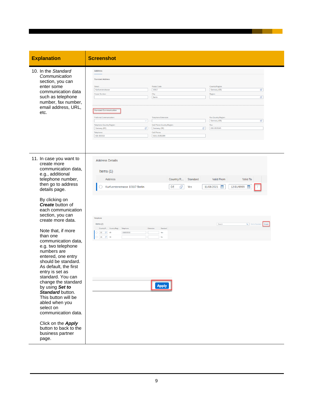| <b>Explanation</b>                                                                                                                                                                                                                                                                                                                                  | <b>Screenshot</b>                                                                                                                                                                                                                                                                                    |
|-----------------------------------------------------------------------------------------------------------------------------------------------------------------------------------------------------------------------------------------------------------------------------------------------------------------------------------------------------|------------------------------------------------------------------------------------------------------------------------------------------------------------------------------------------------------------------------------------------------------------------------------------------------------|
| 10. In the Standard<br>Communication<br>section, you can<br>enter some<br>communication data<br>such as telephone<br>number, fax number,<br>email address, URL,<br>etc.                                                                                                                                                                             | Address<br><b>Standard Address</b><br>Street:<br>Postal Code<br>Country/Region:<br>10117<br>G<br>Kurfuerstenstrasse<br>Germany (DE)<br>House Number<br>City:<br>Region:<br>r9<br>Berlin<br><b>Standard Communication</b>                                                                             |
|                                                                                                                                                                                                                                                                                                                                                     | Preferred Communication:<br>Telephone Extension:<br>Fax Country/Region:<br>G<br>$\checkmark$<br>Germany (DE)<br>Telephone Country/Region:<br>Cell Phone Country/Region<br>Fax:<br>c9<br>c<br>030-3535345<br>Germany (DE)<br>Germany (DE)<br>Telephone:<br>Cell Phone:<br>030-353533<br>0161-35353399 |
| 11. In case you want to<br>create more<br>communication data,<br>e.g., additional<br>telephone number,<br>then go to address<br>details page.                                                                                                                                                                                                       | <b>Address Details</b><br>Items $(1)$<br>Country/R<br><b>Valid From</b><br>Valid To<br>Address<br>Standard<br>c<br>11/08/2021<br>Kurfuerstenstrasse 10117 Berlin<br>DE<br>12/31/9999<br>Yes                                                                                                          |
| By clicking on<br><b>Create</b> button of<br>each communication<br>section, you can<br>create more data.                                                                                                                                                                                                                                            | Telephone<br>Q Set to Standard<br>Items (2)<br>Search                                                                                                                                                                                                                                                |
| Note that, if more<br>than one<br>communication data,<br>e.g. two telephone<br>numbers are<br>entered, one entry<br>should be standard.<br>As default, the first<br>entry is set as<br>standard. You can<br>change the standard<br>by using Set to<br>Standard button.<br>This button will be<br>abled when you<br>select on<br>communication data. | Country/R Country/Regi Telephone<br>Exter<br>Standard<br>$\bigcirc$ DE<br>$Q = 49$<br>030353533<br>Yes<br>O DE 19 49<br>No<br><b>Apply</b>                                                                                                                                                           |
| Click on the Apply<br>button to back to the<br>business partner<br>page.                                                                                                                                                                                                                                                                            |                                                                                                                                                                                                                                                                                                      |

9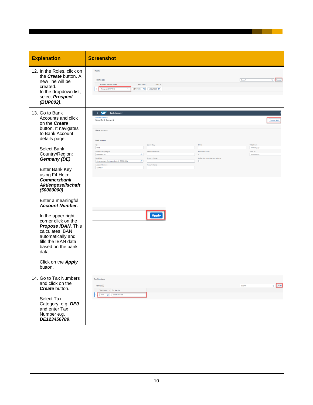| <b>Explanation</b>                                                                                                                                                                                                                                                 | <b>Screenshot</b>                                                                                                                                                                                                                                                                                                                                                                                                                                                                      |                                                    |              |
|--------------------------------------------------------------------------------------------------------------------------------------------------------------------------------------------------------------------------------------------------------------------|----------------------------------------------------------------------------------------------------------------------------------------------------------------------------------------------------------------------------------------------------------------------------------------------------------------------------------------------------------------------------------------------------------------------------------------------------------------------------------------|----------------------------------------------------|--------------|
| 12. In the Roles, click on<br>the <b>Create</b> button. A<br>new line will be<br>created.<br>In the dropdown list,<br>select Prospect<br>(BUP002).                                                                                                                 | Roles<br>Items $(1)$<br>Valid To<br>Business Partner Role*<br>Valid From<br>Prospect (BUP002)<br>11/03/2021 12/31/9999 1                                                                                                                                                                                                                                                                                                                                                               | Search                                             | Q Create     |
| 13. Go to Bank<br>Accounts and click<br>on the <b>Create</b><br>button. It navigates<br>to Bank Account<br>details page.<br>Select Bank<br>Country/Region:<br>Germany (DE).<br>Enter Bank Key<br>using F4 Help:<br><b>Commerzbank</b><br><b>Aktiengesellschaft</b> | $\leftarrow$ SAP<br>Bank Account v<br><b>Business Partner</b><br>New Bank Account<br><b>Bank Account</b><br><b>Bank Account</b><br>ID:*<br>Control Key:<br><b>IBAN:</b><br>0001<br>Bank Country/Region<br>Reference Details:<br><b>IBAN Valid From:</b><br>G)<br>Germany (DE)<br>÷<br>Bank Key:<br><b>Account Holder</b><br>Collection Authorization Indicator:<br>$\mathcal{C}$<br>Commerzbank Aktiengesellschaft (50080000)<br>$\Box$<br>Account Number:<br>Account Name:<br>1234567 | Valid From:<br>MM/dd/yyy<br>Valid To:<br>MMdd/yyyy | Propose IBAN |
| (50080000)<br>Enter a meaningful<br><b>Account Number.</b><br>In the upper right<br>corner click on the<br>Propose IBAN. This<br>calculates IBAN<br>automatically and<br>fills the IBAN data<br>based on the bank<br>data.<br>Click on the Apply<br>button.        | <b>Apply</b>                                                                                                                                                                                                                                                                                                                                                                                                                                                                           |                                                    |              |
| 14. Go to Tax Numbers<br>and click on the<br>Create button.<br><b>Select Tax</b><br>Category, e.g. DEO<br>and enter Tax<br>Number e.g.<br>DE123456789.                                                                                                             | <b>Tax Numbers</b><br>Items $(1)$<br>Tax Categ * Tax Number<br>DE0 C DE123456789                                                                                                                                                                                                                                                                                                                                                                                                       | Search                                             | $Q$ Create   |

- 11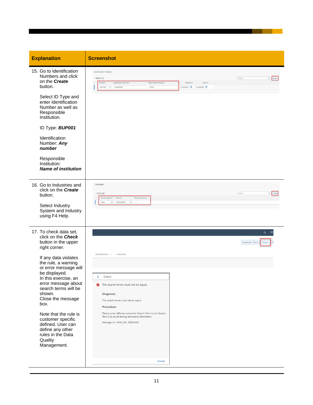| <b>Explanation</b>                                                                                                                                                                                                                                                                                                                                                                                                                       | <b>Screenshot</b>                                                                                                                                                                                                                                                                                                                                               |
|------------------------------------------------------------------------------------------------------------------------------------------------------------------------------------------------------------------------------------------------------------------------------------------------------------------------------------------------------------------------------------------------------------------------------------------|-----------------------------------------------------------------------------------------------------------------------------------------------------------------------------------------------------------------------------------------------------------------------------------------------------------------------------------------------------------------|
| 15. Go to Identification<br>Numbers and click<br>on the Create<br>button.                                                                                                                                                                                                                                                                                                                                                                | <b>Identification Numbers</b><br>Items $(1)$<br>Search<br>Q Create<br>ID Type*<br>Identification Number*<br>Responsible Institution<br>Valid From<br>Valid To<br>BUP001 C<br>123456789<br><b>DUNS</b><br>11/04/2021 12/31/9999 1                                                                                                                                |
| Select ID Type and<br>enter Identification<br>Number as well as<br>Responsible<br>Institution.                                                                                                                                                                                                                                                                                                                                           |                                                                                                                                                                                                                                                                                                                                                                 |
| ID Type: <b>BUP001</b>                                                                                                                                                                                                                                                                                                                                                                                                                   |                                                                                                                                                                                                                                                                                                                                                                 |
| Identification<br>Number: Any<br>number                                                                                                                                                                                                                                                                                                                                                                                                  |                                                                                                                                                                                                                                                                                                                                                                 |
| Responsible<br>Institution:<br><b>Name of institution</b>                                                                                                                                                                                                                                                                                                                                                                                |                                                                                                                                                                                                                                                                                                                                                                 |
| 16. Go to Industries and<br>click on the <b>Create</b><br>button.<br>Select Industry<br>System and Industry<br>using F4 Help.                                                                                                                                                                                                                                                                                                            | Industries<br>Items $(1)$<br>Search<br>$\alpha$ $\parallel$<br>Industry System* Industry*<br>Standard Industry<br>00000000010<br>$\sigma$ $\Box$<br>0001                                                                                                                                                                                                        |
| 17. To check data set,<br>click on the <b>Check</b><br>button in the upper<br>right corner.<br>If any data violates<br>the rule, a warning<br>or error message will<br>be displayed.<br>In this exercise, an<br>error message about<br>search terms will be<br>shown.<br>Close the message<br>box.<br>Note that the rule is<br>customer specific<br>defined. User can<br>define any other<br>rules in the Data<br>Quality<br>Management. | $Q$ $Q$<br><b>Duplicate Check</b><br>Check<br>Identification $\sim$<br>Industries<br>Check<br>∢<br>The search terms must not be equal.<br>Diagnosis<br>The search terms must not be equal.<br>Procedure<br>Please enter different values for Search Term 1 and Search<br>Term 2 to avoid storing redundant information.<br>Message no. MDQ_BP_DEMO001<br>Cancel |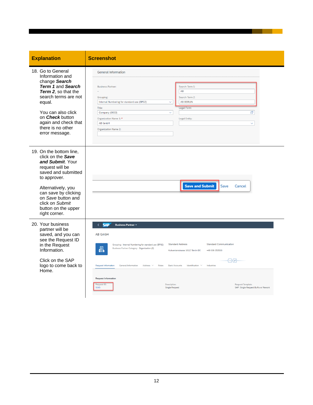| <b>Explanation</b>                                                                                                          | <b>Screenshot</b>                                                                                                                                                                                                            |
|-----------------------------------------------------------------------------------------------------------------------------|------------------------------------------------------------------------------------------------------------------------------------------------------------------------------------------------------------------------------|
| 18. Go to General<br>Information and<br>change Search                                                                       | <b>General Information</b>                                                                                                                                                                                                   |
| Term 1 and Search<br><b>Term 2.</b> so that the<br>search terms are not<br>equal.                                           | Search Term 1:<br><b>Business Partner:</b><br>AB<br>Search Term 2:<br>Grouping:<br><b>AB BERLIN</b><br>Internal Numbering for standard use (BP02)<br>$\checkmark$                                                            |
| You can also click<br>on <i>Check</i> button<br>again and check that<br>there is no other<br>error message.                 | Legal Form:<br>Title:<br>c9<br>Company (0003)<br>$\checkmark$<br>Organization Name 1:*<br><b>Legal Entity:</b><br><b>AB GmbH</b><br>$\checkmark$<br><b>Organization Name 2:</b>                                              |
| 19. On the bottom line,<br>click on the Save<br>and Submit. Your<br>request will be<br>saved and submitted<br>to approver.  |                                                                                                                                                                                                                              |
| Alternatively, you<br>can save by clicking<br>on Save button and<br>click on Submit<br>button on the upper<br>right corner. | <b>Save and Submit</b><br>Save<br>Cancel                                                                                                                                                                                     |
| 20. Your business<br>partner will be<br>saved, and you can<br>see the Request ID                                            | <b>SAP</b><br>k.<br><b>Business Partner v</b><br><b>AB GmbH</b>                                                                                                                                                              |
| in the Request<br>Information.                                                                                              | <b>Standard Address</b><br><b>Standard Communication</b><br>Grouping: Internal Numbering for standard use (BP02)<br>Business Partner Category: Organization (2)<br>A.<br>Kufuerstenstrasse 10117 Berlin DE<br>+49 030-353533 |
| Click on the SAP<br>logo to come back to<br>Home.                                                                           | ∣^H≉ <br><b>Request Information</b><br><b>General Information</b><br>Address $\sim$<br>Roles<br><b>Bank Accounts</b><br>Identification<br>Industries<br>$\sim$                                                               |
|                                                                                                                             | <b>Request Information</b><br>Request ID:<br>Description:<br>Request Template:<br>5045<br><b>Single Request</b><br>SAP: Single Request BuPa w/ Rework                                                                        |

**Contract Contract**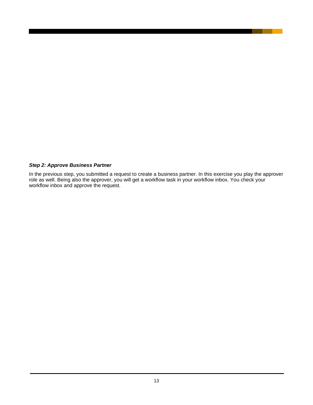#### <span id="page-12-0"></span>*Step 2: Approve Business Partner*

In the previous step, you submitted a request to create a business partner. In this exercise you play the approver role as well. Being also the approver, you will get a workflow task in your workflow inbox. You check your workflow inbox and approve the request.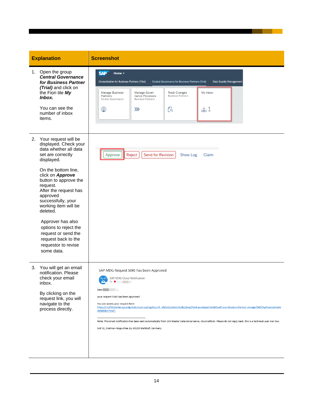| <b>Explanation</b>                                                                                                                                                                                                                                                                                                                                                                                                           | <b>Screenshot</b>                                                                                                                                                                                                                                                                                                                                                                                                                                                                                                                                                                                                   |
|------------------------------------------------------------------------------------------------------------------------------------------------------------------------------------------------------------------------------------------------------------------------------------------------------------------------------------------------------------------------------------------------------------------------------|---------------------------------------------------------------------------------------------------------------------------------------------------------------------------------------------------------------------------------------------------------------------------------------------------------------------------------------------------------------------------------------------------------------------------------------------------------------------------------------------------------------------------------------------------------------------------------------------------------------------|
| 1. Open the group<br><b>Central Governance</b><br>for Business Partner<br>(Trial) and click on<br>the Fiori tile My<br>Inbox.<br>You can see the<br>number of inbox<br>items.                                                                                                                                                                                                                                                | <b>SAP</b><br>Home v<br><b>Consolidation for Business Partners (Trial)</b><br><b>Central Governance for Business Partners (Trial)</b><br>Data Quality Management<br><b>Manage Business</b><br>My Inbox<br>Manage Gover-<br><b>Track Changes</b><br>Partners<br><b>Business Partners</b><br>nance Processes<br><b>Central Governance</b><br><b>Business Partners</b><br>$\geq 1$<br>இ<br>વિ<br>$\gg$                                                                                                                                                                                                                 |
| 2. Your request will be<br>displayed. Check your<br>data whether all data<br>set are correctly<br>displayed.<br>On the bottom line,<br>click on Approve<br>button to approve the<br>request.<br>After the request has<br>approved<br>successfully, your<br>working item will be<br>deleted.<br>Approver has also<br>options to reject the<br>request or send the<br>request back to the<br>requestor to revise<br>some data. | Reject<br>Send for Revision<br>Show Log<br>Claim<br>Approve                                                                                                                                                                                                                                                                                                                                                                                                                                                                                                                                                         |
| 3. You will get an email<br>notification. Please<br>check your email<br>inbox.<br>By clicking on the<br>request link, you will<br>navigate to the<br>process directly.                                                                                                                                                                                                                                                       | SAP MDG Request 5045 has been Approved<br><b>SAP MDG Cloud Notification</b><br>Dear  <br><b>Contract Contract</b><br>your request 5045 has been Approved.<br>You can access your request here:<br>https://ca2f2b1atrial.sap.mdg-trial.cloud.sap/sap/bc/ui5_ui5/ui2/ushell/shells/abap/FioriLaunchpad.html#GovProcessBusinessPartner-manage?MDChgProcessGoal=(<br>465880b1714d')<br>Note: This email notification has been sent automatically from SAP Master Data Governance, cloud edition. Please do not reply back, this is a technical user mail box.<br>SAP SE, Dietmar-Hopp-Allee 16, 69190 Walldorf, Germany |

a sa Ba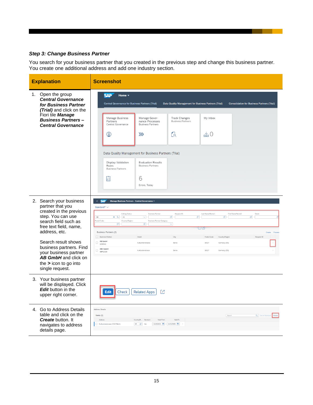### <span id="page-14-0"></span>*Step 3: Change Business Partner*

You search for your business partner that you created in the previous step and change this business partner. You create one additional address and add one industry section.

| <b>Explanation</b>                                                                                                                                                                                                                                                                                              | <b>Screenshot</b>                                                                                                                                                                                                                                                                                                                                                                                                                                                                                                                                                                                                                                                                                                                                                                                                                              |
|-----------------------------------------------------------------------------------------------------------------------------------------------------------------------------------------------------------------------------------------------------------------------------------------------------------------|------------------------------------------------------------------------------------------------------------------------------------------------------------------------------------------------------------------------------------------------------------------------------------------------------------------------------------------------------------------------------------------------------------------------------------------------------------------------------------------------------------------------------------------------------------------------------------------------------------------------------------------------------------------------------------------------------------------------------------------------------------------------------------------------------------------------------------------------|
| 1. Open the group<br><b>Central Governance</b><br>for Business Partner<br>(Trial) and click on the<br>Fiori tile Manage<br><b>Business Partners-</b><br><b>Central Governance</b>                                                                                                                               | <b>SAP</b><br>Home $\blacktriangledown$<br><b>Central Governance for Business Partners (Trial)</b><br>Data Quality Management for Business Partners (Trial)<br><b>Consolidation for Business Partners (Trial)</b><br>My Inbox<br>Manage Business<br>Manage Gover-<br><b>Track Changes</b><br>Partners<br>nance Processes<br><b>Business Partners</b><br>Central Governance<br><b>Business Partners</b><br>$\triangleq 0$<br>$\mathbb{C}$<br>இ<br>$\gg$<br>Data Quality Management for Business Partners (Trial)<br>Display Validation<br><b>Evaluation Results</b><br><b>Business Partners</b><br>Rules<br><b>Business Partners</b><br>6<br>陷<br>Errors, Today                                                                                                                                                                                 |
| 2. Search your business<br>partner that you<br>created in the previous<br>step. You can use<br>search field such as<br>free text field, name,<br>address, etc.<br>Search result shows<br>business partners. Find<br>your business partner<br>AB GmbH and click on<br>the $>$ icon to go into<br>single request. | <b>SAP</b><br>Manage Business Partners - Central Governance<br>$\langle$<br>Standard* $\vee$<br>Last Name/Name1:<br>First Name/Name2:<br><b>Editing Status:</b><br><b>Business Partner</b><br>Request ID:<br>Street<br>$\begin{tabular}{ c c c c } \hline $\times$ & $\mathbb{Q}$ & \quad $\mathbb{A}\mathbb{I}$ \\\hline \end{tabular}$<br>$\mathbb{C}^n$<br>AB<br>c<br><b>G</b><br>$\checkmark$<br>c<br>Postal Code:<br>Country/Region:<br><b>Business Partner Category</b><br>G,<br>G,<br>$\checkmark$<br><del>⊺</del> ∆⊢∦⊦<br>Business Partners (2)<br>Process<br>Create<br>Business Partner<br>City<br>Postal Code<br>Country/Region<br>Request ID<br>Street<br>AB GmbH<br>Π<br>Kufuerstenstrasse<br>Berlin<br>10117<br>Germany (DE)<br>1000041<br>ABC GmbH<br>$\Box$<br>Kurfürstenstrasse<br>Berlin<br>10117<br>Germany (DE)<br>SBP11028 |
| 3. Your business partner<br>will be displayed. Click<br><b>Edit</b> button in the<br>upper right corner.                                                                                                                                                                                                        | Гñ<br>Check<br><b>Related Apps</b><br>Edit                                                                                                                                                                                                                                                                                                                                                                                                                                                                                                                                                                                                                                                                                                                                                                                                     |
| 4. Go to Address Details<br>table and click on the<br><b>Create</b> button. It<br>navigates to address<br>details page.                                                                                                                                                                                         | Address Details<br>Q Set to Standa<br>Items (1)<br>Search<br>Address<br>Valid From<br>Valid To<br>Country/R Standard<br>Kurfuerstenstrasse 10117 Berlin<br>DE C Yes<br>11/08/2021 图 12/31/9999 图                                                                                                                                                                                                                                                                                                                                                                                                                                                                                                                                                                                                                                               |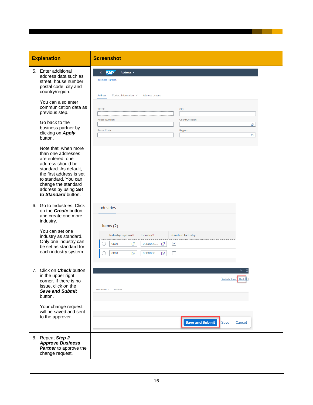#### **Explanation Screenshot**

5. Enter additional address data sud street, house nur postal code, city country/region.

> You can also ent communication d previous step.

Note that, when than one address are entered, one address should b standard. As defa the first address to standard. You change the stand address by using *to Standard* butt

6. Go to Industries. on the **Create** but and create one m industry.

> You can set one industry as stand Only one industry be set as standar each industry sys

7. Click on **Check** b in the upper right corner. If there is no issue, click on the **Save and Subm** button.

> Your change requ will be saved and to the approver.

8. Repeat *Step 2 Approve Business Partner* to approve the change request.

| ch as           | <b>SAP</b><br>Address v<br>$\left\langle \right\rangle$<br><b>Business Partner /</b> |
|-----------------|--------------------------------------------------------------------------------------|
| mber,<br>and    |                                                                                      |
|                 | Address<br>Contact Information $\sim$<br><b>Address Usages</b>                       |
| ter             |                                                                                      |
| data as         | Street:<br>City:                                                                     |
|                 | House Number:<br>Country/Region:                                                     |
| . pλ            | $\mathbb{C}\mathbb{P}$<br>Postal Code:                                               |
| У               | Region:<br>c                                                                         |
|                 |                                                                                      |
| more<br>ses     |                                                                                      |
| œ               |                                                                                      |
| ault,           |                                                                                      |
| is set<br>can   |                                                                                      |
| dard            |                                                                                      |
| J Set<br>ton.   |                                                                                      |
| Click           |                                                                                      |
| utton           | Industries                                                                           |
| nore            |                                                                                      |
|                 | Items (2)                                                                            |
| dard.           | Industry System*<br>Industry*<br>Standard Industry                                   |
| y can<br>rd for | c9<br>0000000 凸<br>0001<br>$\blacktriangledown$                                      |
| stem.           | $\mathbb{C}\mathbb{P}$<br>0001<br>$\Box$                                             |
|                 |                                                                                      |
| วutton          | $Q \odot$                                                                            |
|                 | Duplicate Check<br>Check<br> R                                                       |
| በO<br>е         |                                                                                      |
| ıit             | $\label{eq:1} \text{Identification }\simeq \text{I} \text{ndustries}$                |
|                 |                                                                                      |
| uest            |                                                                                      |
|                 |                                                                                      |
| d sent          |                                                                                      |
|                 | <b>Save and Submit</b><br>Save<br>Cancel                                             |